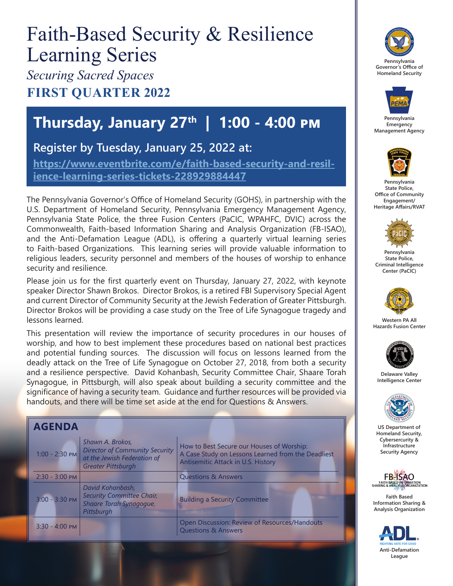# Faith-Based Security & Resilience Learning Series

*Securing Sacred Spaces* **FIRST QUARTER 2022**

## **Thursday, January 27th | 1:00 - 4:00 pm**

#### **Register by Tuesday, January 25, 2022 at:**

**[https://www.eventbrite.com/e/faith-based-security-and-resil](https://www.eventbrite.com/e/faith-based-security-and-resilience-learning-series-tickets-228929884447)[ience-learning-series-tickets-228929884447](https://www.eventbrite.com/e/faith-based-security-and-resilience-learning-series-tickets-228929884447)**

The Pennsylvania Governor's Office of Homeland Security (GOHS), in partnership with the U.S. Department of Homeland Security, Pennsylvania Emergency Management Agency, Pennsylvania State Police, the three Fusion Centers (PaCIC, WPAHFC, DVIC) across the Commonwealth, Faith-based Information Sharing and Analysis Organization (FB-ISAO), and the Anti-Defamation League (ADL), is offering a quarterly virtual learning series to Faith-based Organizations. This learning series will provide valuable information to religious leaders, security personnel and members of the houses of worship to enhance security and resilience.

Please join us for the first quarterly event on Thursday, January 27, 2022, with keynote speaker Director Shawn Brokos. Director Brokos, is a retired FBI Supervisory Special Agent and current Director of Community Security at the Jewish Federation of Greater Pittsburgh. Director Brokos will be providing a case study on the Tree of Life Synagogue tragedy and lessons learned.

This presentation will review the importance of security procedures in our houses of worship, and how to best implement these procedures based on national best practices and potential funding sources. The discussion will focus on lessons learned from the deadly attack on the Tree of Life Synagogue on October 27, 2018, from both a security and a resilience perspective. David Kohanbash, Security Committee Chair, Shaare Torah Synagogue, in Pittsburgh, will also speak about building a security committee and the significance of having a security team. Guidance and further resources will be provided via handouts, and there will be time set aside at the end for Questions & Answers.

| <b>AGENDA</b>    |                                                                                                                       |                                                                                                                                       |
|------------------|-----------------------------------------------------------------------------------------------------------------------|---------------------------------------------------------------------------------------------------------------------------------------|
| $1:00 - 2:30$ PM | Shawn A. Brokos,<br><b>Director of Community Security</b><br>at the Jewish Federation of<br><b>Greater Pittsburgh</b> | How to Best Secure our Houses of Worship:<br>A Case Study on Lessons Learned from the Deadliest<br>Antisemitic Attack in U.S. History |
| $2:30 - 3:00$ PM |                                                                                                                       | <b>Questions &amp; Answers</b>                                                                                                        |
| 3:00 - 3:30 PM   | David Kohanbash,<br><b>Security Committee Chair,</b><br>Shaare Torah Synagogue,<br>Pittsburgh                         | <b>Building a Security Committee</b>                                                                                                  |
| $3:30 - 4:00$ PM |                                                                                                                       | Open Discussion: Review of Resources/Handouts<br><b>Questions &amp; Answers</b>                                                       |





**Pennsylvania Emergency Management Agency**



**Pennsylvania State Police, Office of Community Engagement/ Heritage Affairs/RVAT**



**Pennsylvania State Police, Criminal Intelligence Center (PaCIC)** 



**Western PA All Hazards Fusion Center**



**Delaware Valley Intelligence Center**



**US Department of Homeland Security, Cybersercurity & Infrastructure Security Agency**



**Faith Based Information Sharing & Analysis Organization**